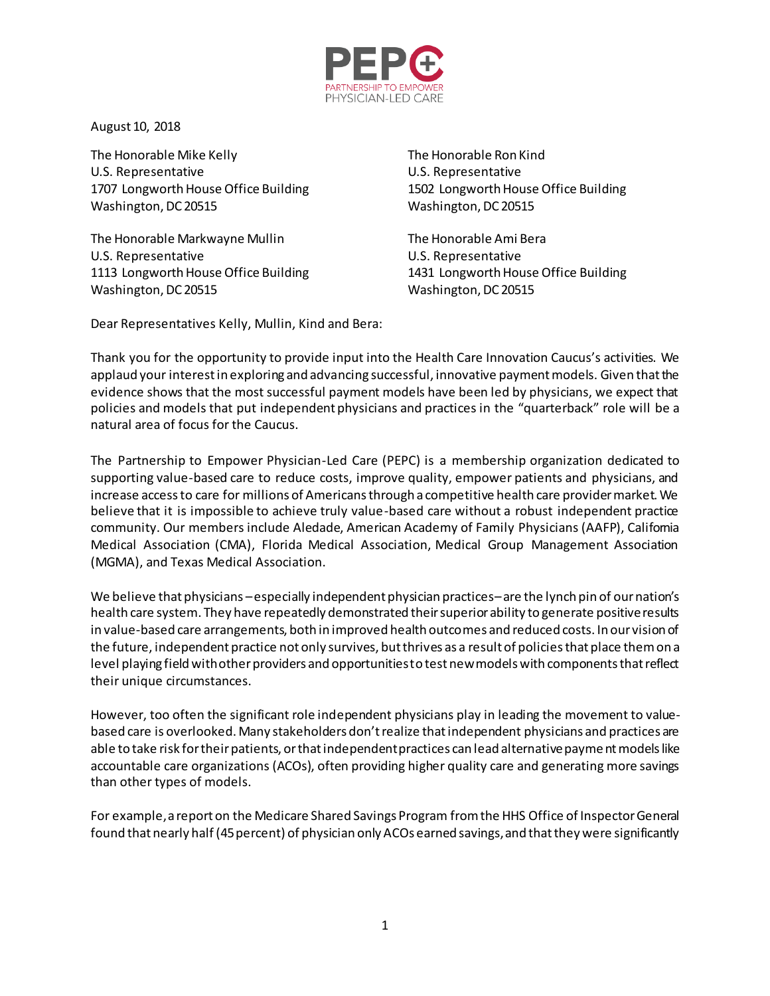

August 10, 2018

The Honorable Mike Kelly The Honorable Ron Kind U.S. Representative U.S. Representative 1707 Longworth House Office Building 1502 Longworth House Office Building Washington, DC 20515 Washington, DC 20515

The Honorable Markwayne Mullin The Honorable Ami Bera U.S. Representative U.S. Representative 1113 Longworth House Office Building 1431 Longworth House Office Building Washington, DC 20515 Washington, DC 20515

Dear Representatives Kelly, Mullin, Kind and Bera:

Thank you for the opportunity to provide input into the Health Care Innovation Caucus's activities. We applaud your interest in exploring and advancing successful, innovative payment models. Given that the evidence shows that the most successful payment models have been led by physicians, we expect that policies and models that put independent physicians and practices in the "quarterback" role will be a natural area of focus for the Caucus.

The Partnership to Empower Physician-Led Care (PEPC) is a membership organization dedicated to supporting value-based care to reduce costs, improve quality, empower patients and physicians, and increase access to care for millions of Americans through a competitive health care provider market. We believe that it is impossible to achieve truly value-based care without a robust independent practice community. Our members include Aledade, American Academy of Family Physicians (AAFP), California Medical Association (CMA), Florida Medical Association, Medical Group Management Association (MGMA), and Texas Medical Association.

We believe that physicians –especially independent physician practices–are the lynch pin of our nation's health care system. They have repeatedly demonstrated their superior ability to generate positive results in value-based care arrangements, both in improved health outcomes and reduced costs. In our vision of the future, independent practice not only survives, but thrives as a result of policies that place them on a level playing field with other providers and opportunities to test new models with components that reflect their unique circumstances.

However, too often the significant role independent physicians play in leading the movement to valuebased care is overlooked. Many stakeholders don't realize that independent physicians and practices are able to take risk for their patients, or that independent practices can lead alternative payment models like accountable care organizations (ACOs), often providing higher quality care and generating more savings than other types of models.

For example, a report on the Medicare Shared Savings Program from the HHS Office of Inspector General found that nearly half (45 percent) of physician only ACOs earned savings, and that they were significantly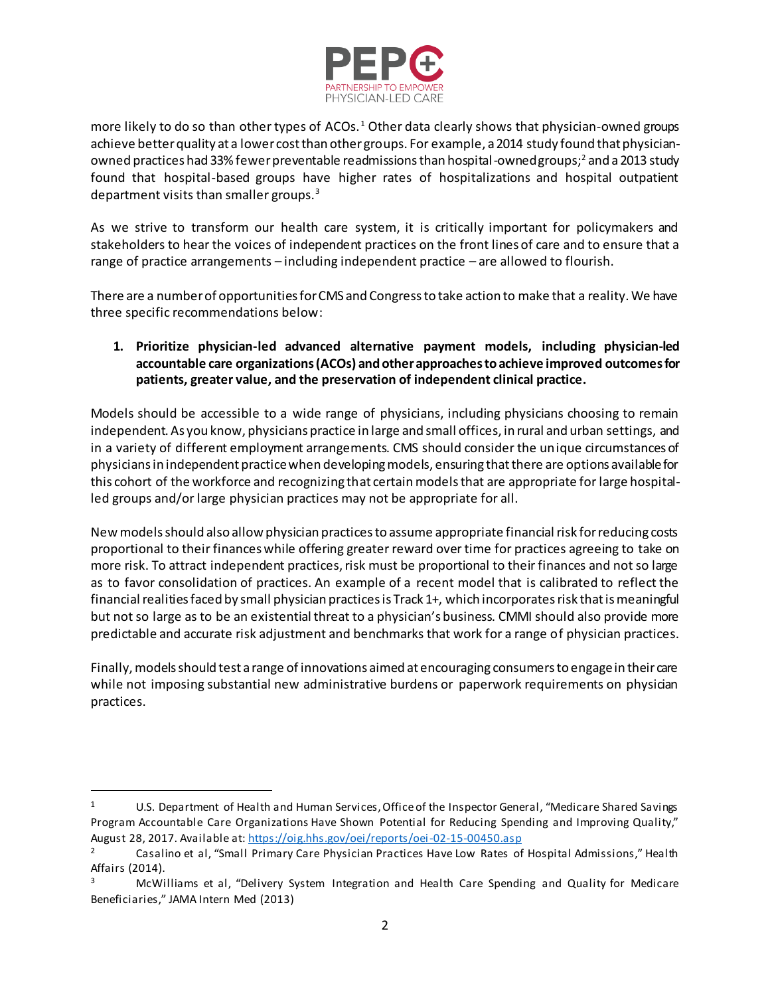

more likely to do so than other types of ACOs.<sup>1</sup> Other data clearly shows that physician-owned groups achieve better quality at a lower cost than other groups. For example, a 2014 study found that physicianowned practices had 33% fewer preventable readmissions than hospital-owned groups;<sup>2</sup> and a 2013 study found that hospital-based groups have higher rates of hospitalizations and hospital outpatient department visits than smaller groups.<sup>3</sup>

As we strive to transform our health care system, it is critically important for policymakers and stakeholders to hear the voices of independent practices on the front lines of care and to ensure that a range of practice arrangements – including independent practice – are allowed to flourish.

There are a number of opportunities for CMS and Congress to take action to make that a reality. We have three specific recommendations below:

## **1. Prioritize physician-led advanced alternative payment models, including physician-led accountable care organizations (ACOs) and other approaches to achieve improved outcomesfor patients, greater value, and the preservation of independent clinical practice.**

Models should be accessible to a wide range of physicians, including physicians choosing to remain independent. As you know, physicians practice in large and small offices, in rural and urban settings, and in a variety of different employment arrangements. CMS should consider the unique circumstances of physicians in independent practice when developing models, ensuring that there are options available for this cohort of the workforce and recognizing that certain models that are appropriate for large hospitalled groups and/or large physician practices may not be appropriate for all.

New models should also allow physician practices to assume appropriate financial risk for reducing costs proportional to their finances while offering greater reward over time for practices agreeing to take on more risk. To attract independent practices, risk must be proportional to their finances and not so large as to favor consolidation of practices. An example of a recent model that is calibrated to reflect the financial realities faced by small physician practices is Track 1+, which incorporates risk that is meaningful but not so large as to be an existential threat to a physician's business. CMMI should also provide more predictable and accurate risk adjustment and benchmarks that work for a range of physician practices.

Finally, models should test a range of innovations aimed at encouraging consumers to engage in their care while not imposing substantial new administrative burdens or paperwork requirements on physician practices.

 $\overline{a}$ 

<sup>1</sup> U.S. Department of Health and Human Services, Office of the Inspector General, "Medicare Shared Savings Program Accountable Care Organizations Have Shown Potential for Reducing Spending and Improving Quality," August 28, 2017. Available at[: https://oig.hhs.gov/oei/reports/oei-02-15-00450.asp](https://oig.hhs.gov/oei/reports/oei-02-15-00450.asp)

<sup>2</sup> Casalino et al, "Small Primary Care Physician Practices Have Low Rates of Hospital Admissions," Health Affairs (2014).

<sup>&</sup>lt;sup>3</sup> McWilliams et al, "Delivery System Integration and Health Care Spending and Quality for Medicare Beneficiaries," JAMA Intern Med (2013)